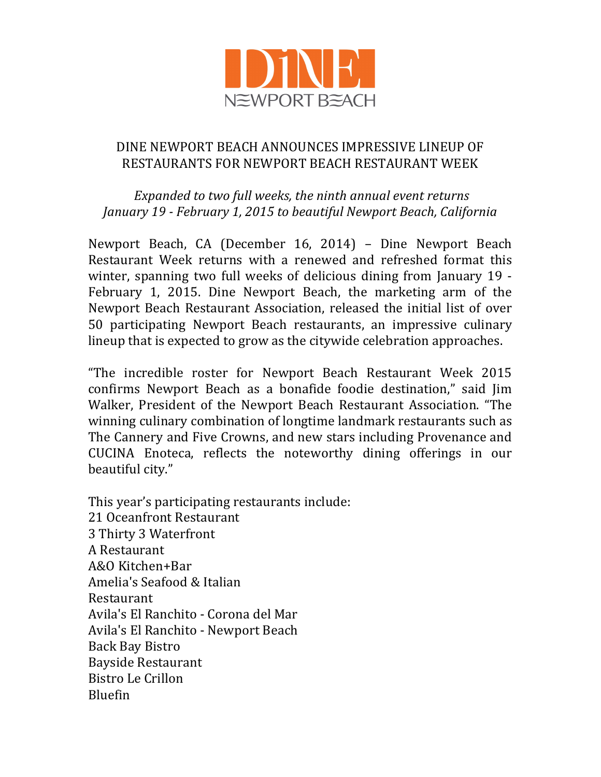

## DINE NEWPORT BEACH ANNOUNCES IMPRESSIVE LINEUP OF RESTAURANTS FOR NEWPORT BEACH RESTAURANT WEEK

*Expanded to two full weeks, the ninth annual event returns January 19 - February 1, 2015 to beautiful Newport Beach, California*

Newport Beach, CA (December 16, 2014) – Dine Newport Beach Restaurant Week returns with a renewed and refreshed format this winter, spanning two full weeks of delicious dining from January 19 - February 1, 2015. Dine Newport Beach, the marketing arm of the Newport Beach Restaurant Association, released the initial list of over 50 participating Newport Beach restaurants, an impressive culinary lineup that is expected to grow as the citywide celebration approaches.

"The incredible roster for Newport Beach Restaurant Week 2015 confirms Newport Beach as a bonafide foodie destination," said Jim Walker, President of the Newport Beach Restaurant Association. "The winning culinary combination of longtime landmark restaurants such as The Cannery and Five Crowns, and new stars including Provenance and CUCINA Enoteca, reflects the noteworthy dining offerings in our beautiful city."

This year's participating restaurants include: 21 Oceanfront Restaurant 3 Thirty 3 Waterfront A Restaurant A&O Kitchen+Bar Amelia's Seafood & Italian Restaurant Avila's El Ranchito - Corona del Mar Avila's El Ranchito - Newport Beach Back Bay Bistro Bayside Restaurant Bistro Le Crillon Bluefin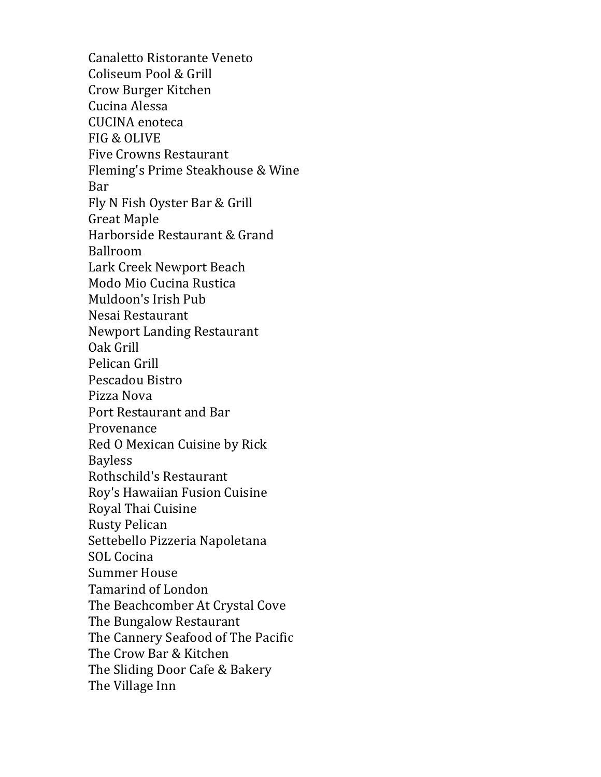Canaletto Ristorante Veneto Coliseum Pool & Grill Crow Burger Kitchen Cucina Alessa CUCINA enoteca FIG & OLIVE Five Crowns Restaurant Fleming's Prime Steakhouse & Wine Bar Fly N Fish Oyster Bar & Grill Great Maple Harborside Restaurant & Grand Ballroom Lark Creek Newport Beach Modo Mio Cucina Rustica Muldoon's Irish Pub Nesai Restaurant Newport Landing Restaurant Oak Grill Pelican Grill Pescadou Bistro Pizza Nova Port Restaurant and Bar Provenance Red O Mexican Cuisine by Rick Bayless Rothschild's Restaurant Roy's Hawaiian Fusion Cuisine Royal Thai Cuisine Rusty Pelican Settebello Pizzeria Napoletana SOL Cocina Summer House Tamarind of London The Beachcomber At Crystal Cove The Bungalow Restaurant The Cannery Seafood of The Pacific The Crow Bar & Kitchen The Sliding Door Cafe & Bakery The Village Inn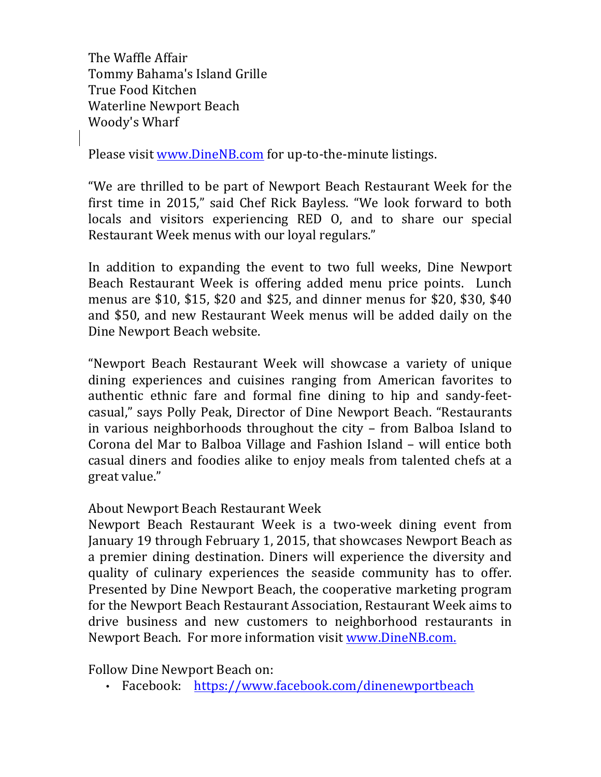The Waffle Affair Tommy Bahama's Island Grille True Food Kitchen Waterline Newport Beach Woody's Wharf

Please visit www.DineNB.com for up-to-the-minute listings.

"We are thrilled to be part of Newport Beach Restaurant Week for the first time in 2015," said Chef Rick Bayless. "We look forward to both locals and visitors experiencing RED O, and to share our special Restaurant Week menus with our loyal regulars."

In addition to expanding the event to two full weeks, Dine Newport Beach Restaurant Week is offering added menu price points. Lunch menus are \$10, \$15, \$20 and \$25, and dinner menus for \$20, \$30, \$40 and \$50, and new Restaurant Week menus will be added daily on the Dine Newport Beach website.

"Newport Beach Restaurant Week will showcase a variety of unique dining experiences and cuisines ranging from American favorites to authentic ethnic fare and formal fine dining to hip and sandy-feetcasual," says Polly Peak, Director of Dine Newport Beach. "Restaurants in various neighborhoods throughout the city – from Balboa Island to Corona del Mar to Balboa Village and Fashion Island – will entice both casual diners and foodies alike to enjoy meals from talented chefs at a great value."

## About Newport Beach Restaurant Week

Newport Beach Restaurant Week is a two-week dining event from January 19 through February 1, 2015, that showcases Newport Beach as a premier dining destination. Diners will experience the diversity and quality of culinary experiences the seaside community has to offer. Presented by Dine Newport Beach, the cooperative marketing program for the Newport Beach Restaurant Association, Restaurant Week aims to drive business and new customers to neighborhood restaurants in Newport Beach. For more information visit www.DineNB.com.

Follow Dine Newport Beach on:

• Facebook: https://www.facebook.com/dinenewportbeach